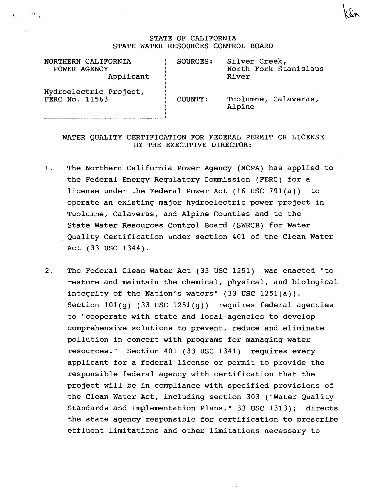## STATE OF CALIFORNIA STATE WATER RESOURCES CONTROL BOARD

| NORTHERN CALIFORNIA<br>POWER AGENCY<br>Applicant | SOURCES: | Silver Creek,<br>North Fork Stanislaus<br>River |
|--------------------------------------------------|----------|-------------------------------------------------|
| Hydroelectric Project,<br>FERC No. 11563         | COUNTY:  | Tuolumne, Calaveras,<br>Alpine                  |

 $\mathbf{G} = \mathbf{G} \mathbf{V}_{\mathbf{G}}$  .

## WATER QUALITY CERTIFICATION FOR FEDERAL PERMIT OR LICENSE BY THE EXECUTIVE DIRECTOR:

- 1. The Northern California Power Agency (NCPA) has applied to the Federal Energy Regulatory Commission (FERC) for a license under the Federal Power Act  $(16 \text{ USC } 791(a))$  to operate an existing major hydroelectric power project in Tuolumne, Calaveras, and Alpine Counties and to the State Water Resources Control Board (SWRCB) for Water Quality Certification under section 401 of the Clean Water Act (33 USC 1344).
- 2. The Federal Clean Water Act (33 USC 1251) was enacted "to restore and maintain the chemical, physical, and biological integrity of the Nation's waters"  $(33 \text{ USC } 1251(a))$ . Section  $101(q)$  (33 USC  $1251(q)$ ) requires federal agencies to "cooperate with state and local agencies to develop comprehensive solutions to prevent, reduce and eliminate pollution in concert with programs for managing water resources." Section 401 (33 USC 1341) requires every applicant for a federal license or permit to provide the responsible federal agency with certification that the project will be in compliance with specified provisions of the Clean Water Act, including section 303 ("Water Quality Standards and Implementation Plans," 33 USC 1313); directs the state agency responsible for certification to prescribe effluent limitations and other limitations necessary to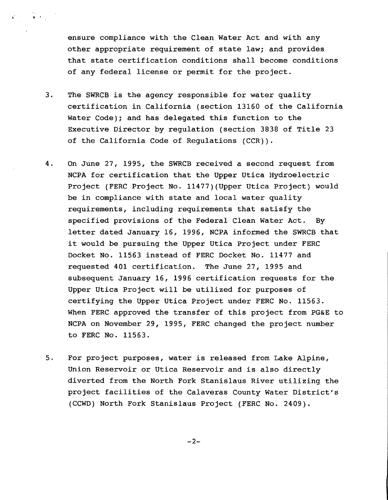ensure compliance with the Clean Water Act and with any other appropriate requirement of state law; and provides that state certification conditions shall become conditions of any federal license or permit for the project.

 $\mathcal{C} = \{ \mathbf{x}_1, \mathbf{y}_2, \mathbf{y}_3, \mathbf{y}_4, \mathbf{y}_5, \mathbf{y}_6, \mathbf{y}_7, \mathbf{y}_8, \mathbf{y}_9, \mathbf{y}_9, \mathbf{y}_9, \mathbf{y}_9, \mathbf{y}_9, \mathbf{y}_9, \mathbf{y}_9, \mathbf{y}_9, \mathbf{y}_9, \mathbf{y}_9, \mathbf{y}_9, \mathbf{y}_9, \mathbf{y}_9, \mathbf{y}_9, \mathbf{y}_9, \mathbf{y}_9, \mathbf{y}_9, \mathbf{y}_9, \mathbf{$ 

- 3. The SWRCB is the agency responsible for water quality certification in California (section 13160 of the California Water Code); and has delegated this function to the Executive Director by regulation (section 3838 of Title 23 of the California Code of Requlations (CCR)).
- 4. On June 27, 1995, the SWRCB received a second request from NCPA for certification that the Upper Utica Hydroelectric Project (FERC Project No. 11477) (Upper Utica Project) would be in compliance with state and local water quality requirements, including requirements that satisfy the specified provisions of the Federal Clean Water Act. By letter dated January 16, 1996, NCPA informed the SWRCB that it would be pursuing the Upper Utica project under FERC Docket No. 11563 instead of FERC Docket No. 11477 and requested 401 certification. The June 27, 1995 and subsequent January 16, 1996 certification requests for the Upper Utica Project will be utilized for purposes of certifying the Upper Utica Project under FERC No. 11563. When FERC approved the transfer of this project from PG&E to NCPA on November 29, 1995, FERC changed the project number to FERC No. 11563.
- 5. For project purposes, water is released from Lake Alpine, Union Reservoir or Utica Reservoir and is also directly diverted from the North Fork Stanislaus River utilizing the project facilities of the Calaveras County Water District's (CCWD) North Fork Stanislaus Project (FERC No. 2409).

 $-2-$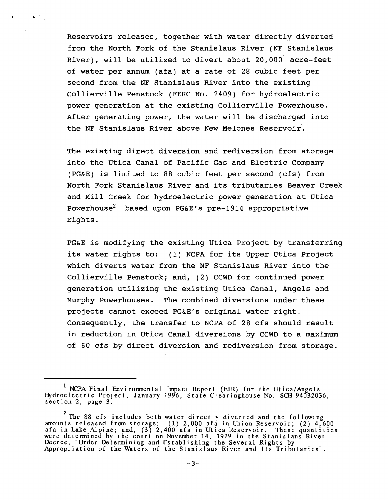Reservoirs releases, together with water directly diverted from the North Fork of the Stanislaus River (NF Stanislaus River), will be utilized to divert about  $20,000^1$  acre-feet of water per annum (afa) at a rate of 28 cubic feet per second from the NF Stanislaus River into the existing Collierville Penstock (FERC No. 2409) for hydroelectric power generation at the existing Collierville Powerhouse. After generating power, the water will be discharged into the NF Stanislaus River above New Melones Reservoir.

 $\mathcal{L} = \mathbf{S} \cdot \mathbf{S}$ 

The existing direct diversion and rediversion from storage into the Utica Canal of Pacific Gas and Electric Company (PG&E) is limited to 88 cubic feet per second (cfs) from North Fork Stanislaus River and its tributaries Beaver Creek and Mill Creek for hydroelectric power generation at Utica Powerhouse<sup>2</sup> based upon PG&E's pre-1914 appropriative rights.

PG&E is modifying the existing Utica Project by transferring its water rights to: (1) NCPA for its Upper Utica Project which diverts water from the NF Stanislaus River into the Collierville Penstock; and, (2) CCWD for continued power generation utilizing the existing Utica Canal, Angels and Murphy Powerhouses. The combined diversions under these projects cannot exceed PG&E's original water right. Consequently, the transfer to NCPA of 28 cfs should result in reduction in Utica Canal diversions by CCWD to a maximum of 60 cfs by direct diversion and rediversion from storage.

<sup>&</sup>lt;sup>1</sup> NCPA Final Environmental Impact Report (EIR) for the Utica/Angels Hydroelectric Project, January 1996, State Clearinghouse No. SCH 94032036, section 2, page 3.

<sup>&</sup>lt;sup>2</sup> The 88 cfs includes both water directly diverted and the following amounts released from storage: (1) 2,000 afa in Union Reservoir; (2) 4,600 afa in Lake Alpine; and, (3) 2, 400 afa in Utica Reservoir. These quantities were determined by the court on November 14, 1929 in the Stanislaus River Decree, "Order Determining and Establishing the Several Rights by Appropriation of the Waters of the Stanislaus River and Its Tributaries".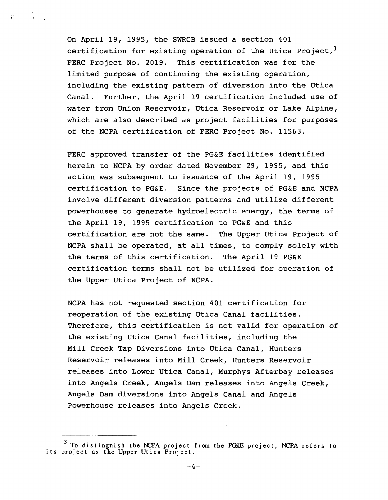On April 19, 1995, the SWRCB issued a section 401 certification for existing operation of the Utica Project, $3$ FERC Project No. 2019. This certification was for the limited purpose of continuing the existing operation, including the existing pattern of diversion into the Utica Canal. Further, the April 19 certification included use of water from Union Reservoir, Utica Reservoir or Lake Alpine, which are also described as project facilities for purposes of the NCPA certification of FERC Project No. 11563.

 $\label{eq:2} \mathcal{L}_{\text{max}} = \frac{1}{2} \left( \mathcal{L}_{\text{max}} \right)$ 

FERC approved transfer of the PG&E facilities identified herein to NCPA by order dated November 29, 1995, and this action was subsequent to issuance of the April 19, 1995 certification to PG&E. Since the projects of PG&E and NCPA involve different diversion patterns and utilize different powerhouses to generate hydroelectric energy, the terms of the April 19, 1995 certification to PG&E and this certification are not the same. The Upper Utica Project of NCPA shall be operated, at all times, to comply solely with the terms of this certification. The April 19 PG&E certification terms shall not be utilized for operation of the Upper Utica Project of NCPA.

NCPA has not requested section 401 certification for reoperation of the existing Utica Canal facilities. Therefore, this certification is not valid for operation of the existing Utica Canal facilities, including the Mill Creek Tap Diversions into Utica Canal, Hunters Reservoir releases into Mill Creek, Hunters Reservoir releases into Lower Utica Canal, Murphys Afterbay releases into Angels Creek, Angels Dam releases into Angels Creek, Angels Dam diversions into Angels Canal and Angels Powerhouse releases into Angels Creek.

<sup>&</sup>lt;sup>3</sup> To distinguish the NCPA project from the PG&E project, NCPA refers to its project as the Upper Utica Project.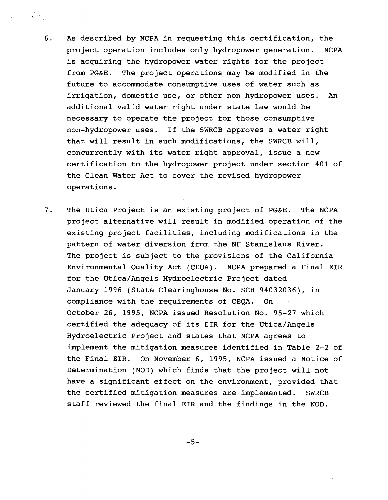6. As described by NCPA in requesting this certification, the project operation includes only hydropower generation. NCPA is acquiring the hydropower water rights for the project from PG&E. The project operations may be modified in the future to accommodate consumptive uses of water such as irrigation, domestic use, or other non-hydropower uses. An additional valid water right under state law would be necessary to operate the project for those consumptive non-hydropower uses. If the SWRCB approves a water right that will result in such modifications, the SWRCB will, concurrently with its water right approval, issue a new certification to the hydropower project under section 401 of the Clean Water Act to cover the revised hydropower operations.

 $\sim$  ,  $\sqrt{2}$ 

7. The Utica Project is an existing project of PG&E. The NCPA project alternative will result in modified operation of the existing project facilities, including modifications in the pattern of water diversion from the NF Stanislaus River. The project is subject to the provisions of the California Environmental Quality Act (CEQA). NCPA prepared a Final EIR for the Utica/Angels Hydroelectric Project dated January 1996 (State Clearinghouse No. SCH 94032036), in compliance with the requirements of CEQA. On October 26, 1995, NCPA issued Resolution No. 95-27 which certified the adequacy of its EIR for the Utica/Angels Hydroelectric Project and states that NCPA agrees to implement the mitigation measures identified in Table 2-2 of the Final EIR. On November 6, 1995, NCPA issued a Notice of Determination (NOD) which finds that the project will not have a significant effect on the environment, provided that the certified mitigation measures are implemented. SWRCB staff reviewed the final EIR and the findings in the NOD.

 $-5-$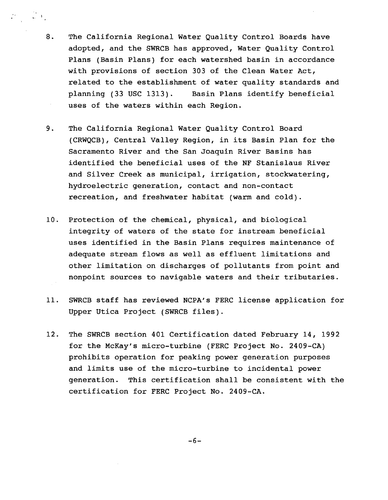8. The California Regional Water Quality Control Boards have adopted, and the SWRCB has approved, Water Quality Control Plans (Basin Plans) for each watershed basin in accordance with provisions of section 303 of the Clean Water Act, related to the establishment of water quality standards and planning (33 USC 1313). Basin Plans identify beneficial uses of the waters within each Region.

 $\label{eq:2.1} \frac{1}{2} \mathcal{V}(\mathbf{x}) = \frac{1}{2} \mathcal{V}(\mathbf{x})$ 

- 9. The California Regional Water Quality Control Board (CRWQCB), Central Valley Region, in its Basin Plan for the Sacramento River and the San Joaquin River Basins has identified the beneficial uses of the NF Stanislaus River and Silver Creek as municipal, irrigation, stockwatering, hydroelectric generation, contact and non-contact recreation, and freshwater habitat (warm and cold).
- 10. Protection of the chemical, physical, and biological integrity of waters of the state for instream beneficial uses identified in the Basin Plans requires maintenance of adequate stream flows as well as effluent limitations and other limitation on discharges of pollutants from point and nonpoint sources to navigable waters and their tributaries.
- 11. SWRCB staff has reviewed NCPA's FERC license application for Upper Utica Project (SWRCB files).
- 12. The SWRCB section 401 Certification dated February 14, 1992 for the McKay's micro-turbine (FERC Project No. 2409-CA) prohibits operation for peaking power generation purposes and limits use of the micro-turbine to incidental power generation. This certification shall be consistent with the certification for FERC Project No. 2409-CA.

 $-6-$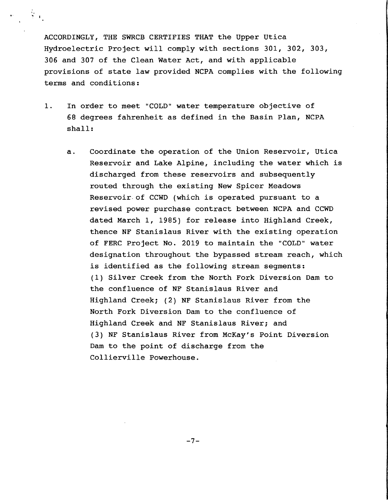ACCORDINGLY, THE SWRCB CERTIFIES THAT the Upper Utica Hydroelectric Project will comply with sections 301, 302, 303, 306 and 307 of the Clean Water Act, and with applicable provisions of state law provided NCPA complies with the following terms and conditions:

 $\frac{1}{2}$ ,  $\frac{1}{2}$ 

- 1. In order to meet "COLD" water temperature objective of 68 degrees fahrenheit as defined in the Basin Plan, NCPA shall:
	- a. Coordinate the operation of the Union Reservoir, Utica Reservoir and Lake Alpine, including the water which is discharged from these reservoirs and subsequently routed through the existing New Spicer Meadows Reservoir. of CCWD (which is operated pursuant to a revised power purchase contract between NCPA and CCWD dated March 1, 1985) for release into Highland Creek, thence NF Stanislaus River with the existing operation of FERC Project No. 2019 to maintain the "COLD" water designation throughout the bypassed stream reach, which is identified as the following stream segments: (1) Silver Creek from the North Fork Diversion Dam to the confluence of NF Stanislaus River and Highland Creek; (2) NF Stanislaus River from the North Fork Diversion Dam to the confluence of Highland Creek and NF Stanislaus River; and (3) NF Stanislaus River from McKay's Point Diversion Dam to the point of discharge from the Collierville Powerhouse.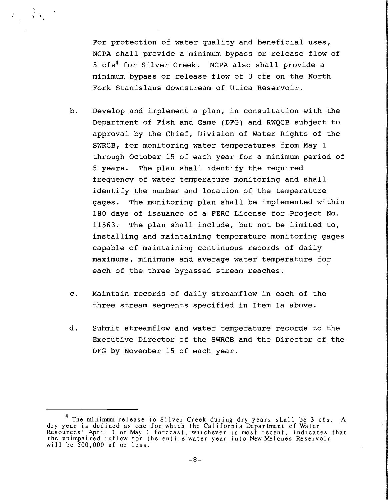For protection of water quality and beneficial uses, NCPA shall provide a minimum bypass or release flow of 5 cfs<sup>4</sup> for Silver Creek. NCPA also shall provide a minimum bypass or release flow of 3 cfs on the North Fork Stanislaus downstream of Utica Reservoir.

 $\frac{\partial}{\partial t}$  ,

- b. Develop and implement a plan, in consultation with the Department of Fish and Game (DFG) and RWQCB subject to approval by the Chief, Division of Water Rights of the SWRCB, for monitoring water temperatures from May 1 through October 15 of each year for a minimum period of 5 years. The plan shall identify the required frequency of water temperature monitoring and shall identify the number and location of the temperature gages. The monitoring plan shall be implemented within 180 days of issuance of a FERC License for Project No. 11563. The plan shall include, but not be limited to, installing and maintaining temperature monitoring gages capable of maintaining continuous records of daily maximums, minimums and average water temperature for each of the three bypassed stream reaches.
- c. Maintain records of daily streamflow in each of the three stream segments specified in Item 1a above.
- d. Submit streamflow and water temperature records to the Executive Director of the SWRCB and the Director of the DFG by November 15 of each year.

<sup>&</sup>lt;sup>4</sup> The minimum release to Silver Creek during dry years shall be 3 cfs. A dry year is defined as one for which the California Department of Water Resources' April 1 or May 1 forecast, whichever is most recent, indicates that the unimpaired inflow for the entire water year into New~lones Reservoir will be 500,000 af or less.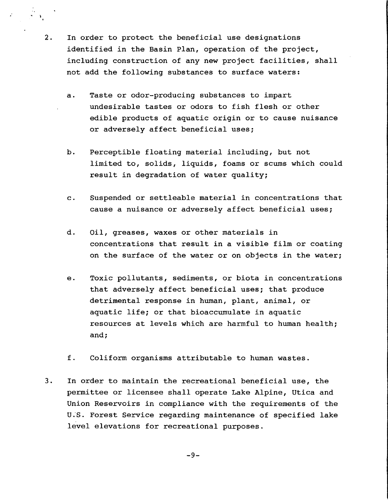2. In order to protect the beneficial use designations identified in the Basin Plan, operation of the project, including construction of any new project facilities, shall not add the following substances to surface waters:

 $\frac{1}{2}$ .

- a. Taste or odor-producing substances to impart undesirable tastes or odors to fish flesh or other edible products of aquatic origin or to cause nuisance or adversely affect beneficial uses;
- b. Perceptible floating material including, but not limited to, solids, liquids, foams or scums which could result in degradation of water quality;
- c. Suspended or settleable material in concentrations that cause a nuisance or adversely affect beneficial uses;
- d. Oil, greases, waxes or other materials in concentrations that result in a visible film or coating on the surface of the water or on objects in the water;
- e. Toxic pollutants, sediments, or biota in concentrations that adversely affect beneficial uses; that produce detrimental response in human, plant, animal, or aquatic life; or that bioaccumulate in aquatic resources at levels which are harmful to human health; and;
- f. Coliform organisms attributable to human wastes.
- 3. In order to maintain the recreational beneficial use, the permittee or licensee shall operate Lake Alpine, Utica and Union Reservoirs in compliance with the requirements of the U;S. Forest Service regarding maintenance of specified lake level elevations for recreational purposes.

 $-9-$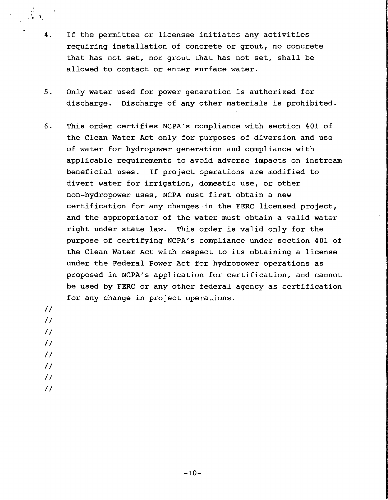- 4. If the permittee or licensee initiates any activities requiring installation of concrete or grout, no concrete that has not set, nor grout that has not set, shall be allowed to contact or enter surface water.
- 5. Only water used for power generation is authorized for discharge. Discharge of any other materials is prohibited.
- 6. This order certifies NCPA's compliance with section 401 of the Clean Water Act only for purposes of diversion and use of water for hydropower generation and compliance with applicable requirements to avoid adverse impacts on instream beneficial uses. If project operations are modified to divert water for irrigation, domestic use, or other non-hydropower uses, NCPA must first obtain a new certification for any changes in the FERC licensed project, and the appropriator of the water must obtain a valid water right under state law. This order is valid only for the purpose of certifying NCPA's compliance under section 401 of the Clean Water Act with respect to its obtaining a license under the Federal Power Act for hydropower operations as proposed in NCPA's application for certification, and cannot be used by FERC or any other federal agency as certification for any change in project operations.

*II II II II II* 

 $\mathbb{R}^3 \times \mathbb{R}^4$ 

*II* 

*II* 

*II*